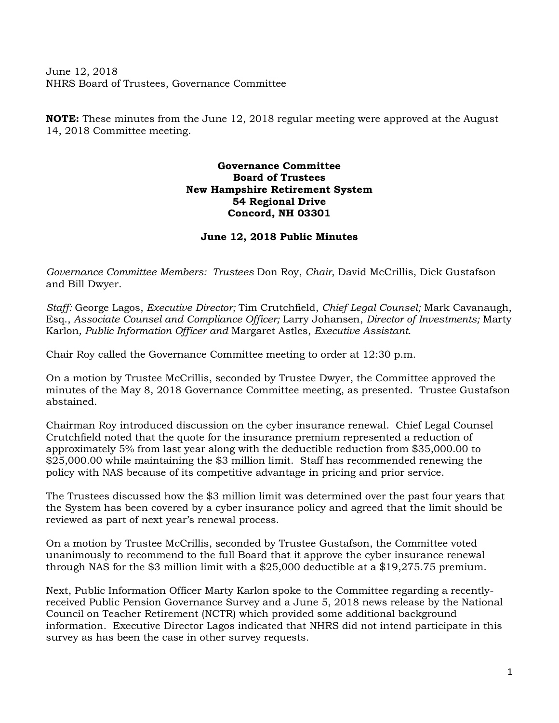June 12, 2018 NHRS Board of Trustees, Governance Committee

**NOTE:** These minutes from the June 12, 2018 regular meeting were approved at the August 14, 2018 Committee meeting.

## **Governance Committee Board of Trustees New Hampshire Retirement System 54 Regional Drive Concord, NH 03301**

## **June 12, 2018 Public Minutes**

*Governance Committee Members: Trustees* Don Roy, *Chair*, David McCrillis, Dick Gustafson and Bill Dwyer.

*Staff:* George Lagos, *Executive Director;* Tim Crutchfield, *Chief Legal Counsel;* Mark Cavanaugh, Esq., *Associate Counsel and Compliance Officer;* Larry Johansen, *Director of Investments;* Marty Karlon*, Public Information Officer and* Margaret Astles, *Executive Assistant.* 

Chair Roy called the Governance Committee meeting to order at 12:30 p.m.

On a motion by Trustee McCrillis, seconded by Trustee Dwyer, the Committee approved the minutes of the May 8, 2018 Governance Committee meeting, as presented. Trustee Gustafson abstained.

Chairman Roy introduced discussion on the cyber insurance renewal. Chief Legal Counsel Crutchfield noted that the quote for the insurance premium represented a reduction of approximately 5% from last year along with the deductible reduction from \$35,000.00 to \$25,000.00 while maintaining the \$3 million limit. Staff has recommended renewing the policy with NAS because of its competitive advantage in pricing and prior service.

The Trustees discussed how the \$3 million limit was determined over the past four years that the System has been covered by a cyber insurance policy and agreed that the limit should be reviewed as part of next year's renewal process.

On a motion by Trustee McCrillis, seconded by Trustee Gustafson, the Committee voted unanimously to recommend to the full Board that it approve the cyber insurance renewal through NAS for the \$3 million limit with a \$25,000 deductible at a \$19,275.75 premium.

Next, Public Information Officer Marty Karlon spoke to the Committee regarding a recentlyreceived Public Pension Governance Survey and a June 5, 2018 news release by the National Council on Teacher Retirement (NCTR) which provided some additional background information. Executive Director Lagos indicated that NHRS did not intend participate in this survey as has been the case in other survey requests.